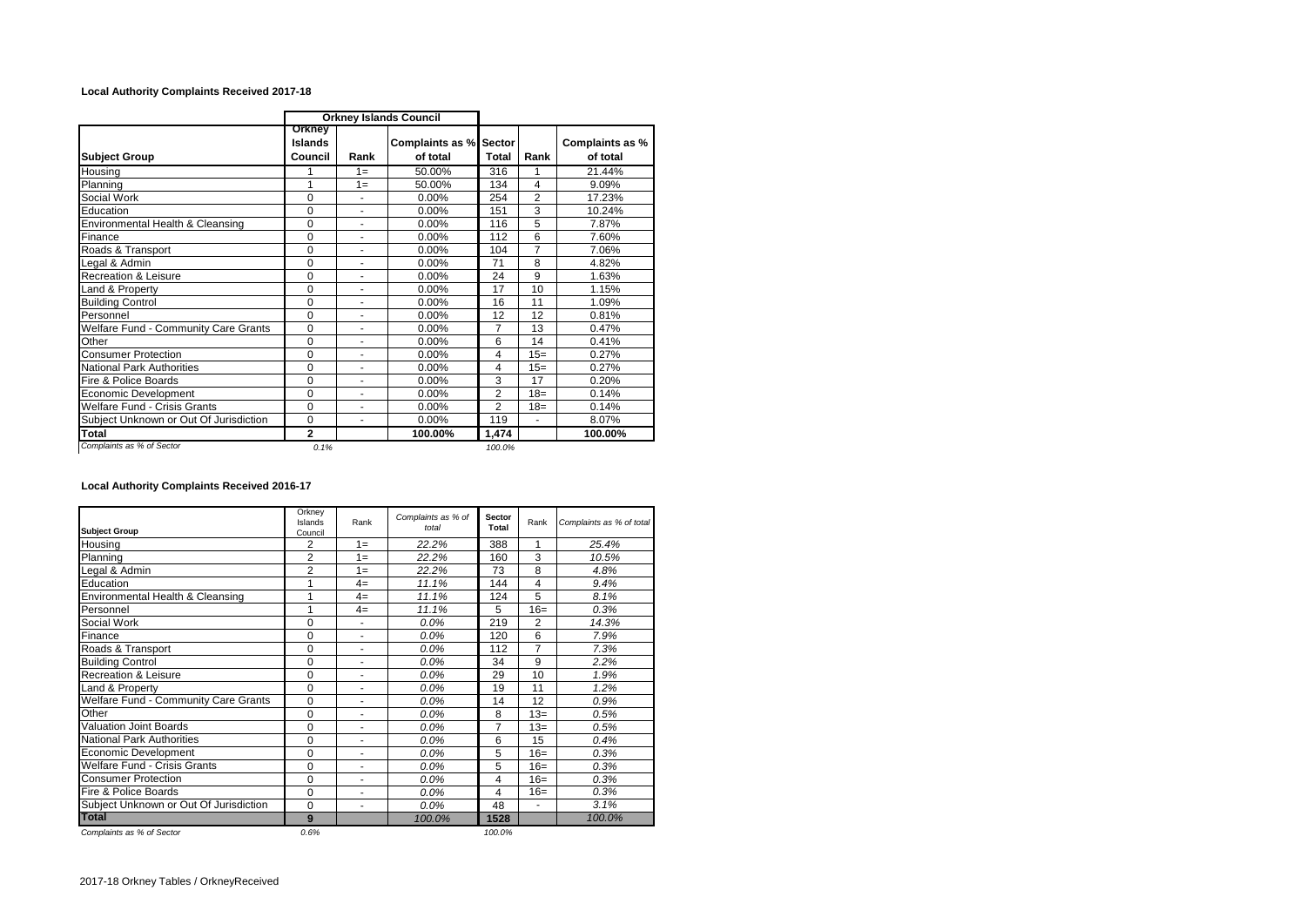## **Local Authority Complaints Received 2017-18**

|                                        | <b>Orkney Islands Council</b> |                |                                           |                |                |                             |
|----------------------------------------|-------------------------------|----------------|-------------------------------------------|----------------|----------------|-----------------------------|
| <b>Subject Group</b>                   | Orkney<br>Islands<br>Council  | Rank           | <b>Complaints as % Sector</b><br>of total | <b>Total</b>   | Rank           | Complaints as %<br>of total |
| Housing                                |                               | $1 =$          | 50.00%                                    | 316            | 1              | 21.44%                      |
| Planning                               | 1                             | $1 =$          | 50.00%                                    | 134            | 4              | 9.09%                       |
| Social Work                            | 0                             | ٠              | 0.00%                                     | 254            | $\overline{2}$ | 17.23%                      |
| Education                              | 0                             | ٠              | 0.00%                                     | 151            | 3              | 10.24%                      |
| Environmental Health & Cleansing       | $\mathbf 0$                   |                | 0.00%                                     | 116            | 5              | 7.87%                       |
| Finance                                | $\Omega$                      | $\blacksquare$ | 0.00%                                     | 112            | 6              | 7.60%                       |
| Roads & Transport                      | 0                             | ٠              | $0.00\%$                                  | 104            | $\overline{7}$ | 7.06%                       |
| Legal & Admin                          | 0                             | ٠              | 0.00%                                     | 71             | 8              | 4.82%                       |
| Recreation & Leisure                   | 0                             | ۰              | $0.00\%$                                  | 24             | 9              | 1.63%                       |
| Land & Property                        | $\Omega$                      | ٠              | 0.00%                                     | 17             | 10             | 1.15%                       |
| <b>Building Control</b>                | $\Omega$                      | $\blacksquare$ | 0.00%                                     | 16             | 11             | 1.09%                       |
| Personnel                              | 0                             | ٠              | $0.00\%$                                  | 12             | 12             | 0.81%                       |
| Welfare Fund - Community Care Grants   | $\mathbf 0$                   | $\blacksquare$ | 0.00%                                     | $\overline{7}$ | 13             | 0.47%                       |
| Other                                  | 0                             | ٠              | 0.00%                                     | 6              | 14             | 0.41%                       |
| <b>Consumer Protection</b>             | 0                             | ۰              | 0.00%                                     | 4              | $15=$          | 0.27%                       |
| <b>National Park Authorities</b>       | $\Omega$                      | ٠              | 0.00%                                     | 4              | $15=$          | 0.27%                       |
| Fire & Police Boards                   | 0                             | $\overline{a}$ | 0.00%                                     | 3              | 17             | 0.20%                       |
| Economic Development                   | 0                             | $\blacksquare$ | 0.00%                                     | $\overline{2}$ | $18=$          | 0.14%                       |
| Welfare Fund - Crisis Grants           | 0                             | ٠              | 0.00%                                     | $\overline{2}$ | $18 =$         | 0.14%                       |
| Subject Unknown or Out Of Jurisdiction | 0                             | ۰              | 0.00%                                     | 119            | ä,             | 8.07%                       |
| <b>Total</b>                           | 2                             |                | 100.00%                                   | 1,474          |                | 100.00%                     |
| Complaints as % of Sector              | 0.1%                          |                |                                           | 100.0%         |                |                             |

**Local Authority Complaints Received 2016-17**

| <b>Subject Group</b>                        | Orkney<br>Islands<br>Council | Rank  | Complaints as % of<br>total | <b>Sector</b><br>Total | Rank           | Complaints as % of total |
|---------------------------------------------|------------------------------|-------|-----------------------------|------------------------|----------------|--------------------------|
| Housing                                     | 2                            | $1 =$ | 22.2%                       | 388                    | 1              | 25.4%                    |
| Planning                                    | $\overline{2}$               | $1 =$ | 22.2%                       | 160                    | 3              | 10.5%                    |
| Legal & Admin                               | 2                            | $1 =$ | 22.2%                       | 73                     | 8              | 4.8%                     |
| Education                                   |                              | $4=$  | 11.1%                       | 144                    | 4              | 9.4%                     |
| Environmental Health & Cleansing            |                              | $4=$  | 11.1%                       | 124                    | 5              | 8.1%                     |
| Personnel                                   |                              | $4=$  | 11.1%                       | 5                      | $16=$          | 0.3%                     |
| Social Work                                 | 0                            | ä,    | $0.0\%$                     | 219                    | $\overline{2}$ | 14.3%                    |
| Finance                                     | 0                            | ٠     | $0.0\%$                     | 120                    | 6              | 7.9%                     |
| Roads & Transport                           | $\Omega$                     | ۰     | $0.0\%$                     | 112                    | 7              | 7.3%                     |
| <b>Building Control</b>                     | $\Omega$                     | ä,    | $0.0\%$                     | 34                     | 9              | 2.2%                     |
| <b>Recreation &amp; Leisure</b>             | $\Omega$                     | ٠     | $0.0\%$                     | 29                     | 10             | 1.9%                     |
| Land & Property                             | $\Omega$                     | ٠     | $0.0\%$                     | 19                     | 11             | 1.2%                     |
| <b>Welfare Fund - Community Care Grants</b> | 0                            |       | $0.0\%$                     | 14                     | 12             | 0.9%                     |
| Other                                       | $\Omega$                     | ٠     | $0.0\%$                     | 8                      | $13=$          | 0.5%                     |
| <b>Valuation Joint Boards</b>               | 0                            | ٠     | $0.0\%$                     | 7                      | $13=$          | 0.5%                     |
| <b>National Park Authorities</b>            | $\Omega$                     | ٠     | 0.0%                        | 6                      | 15             | 0.4%                     |
| <b>Economic Development</b>                 | $\Omega$                     | ÷     | 0.0%                        | 5                      | $16=$          | 0.3%                     |
| <b>Welfare Fund - Crisis Grants</b>         | $\Omega$                     | ٠     | 0.0%                        | 5                      | $16=$          | 0.3%                     |
| <b>Consumer Protection</b>                  | $\Omega$                     | ÷     | $0.0\%$                     | 4                      | $16=$          | 0.3%                     |
| Fire & Police Boards                        | $\Omega$                     | ÷     | $0.0\%$                     | 4                      | $16=$          | 0.3%                     |
| Subject Unknown or Out Of Jurisdiction      | $\Omega$                     | ä,    | $0.0\%$                     | 48                     | $\blacksquare$ | 3.1%                     |
| <b>Total</b>                                | 9                            |       | 100.0%                      | 1528                   |                | 100.0%                   |
| Complaints as % of Sector                   | 0.6%                         |       |                             | 100.0%                 |                |                          |